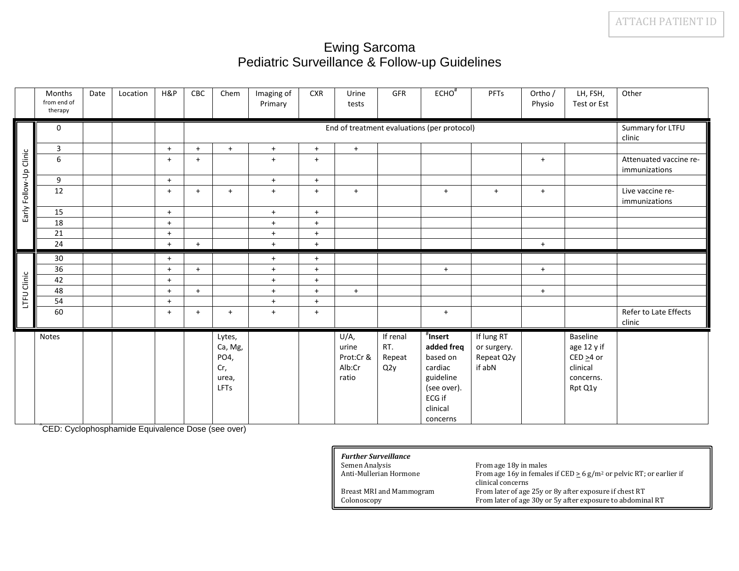## Ewing Sarcoma Pediatric Surveillance & Follow-up Guidelines

|                        | Months<br>from end of<br>therapy | Date                                        | Location | H&P                  | CBC | Chem                                              | Imaging of<br>Primary | <b>CXR</b> | Urine<br>tests                                | GFR                              | $ECHO^*$                                                                                                               | PFTs                                              | Ortho /<br>Physio | LH, FSH,<br>Test or Est                                                        | Other                                   |
|------------------------|----------------------------------|---------------------------------------------|----------|----------------------|-----|---------------------------------------------------|-----------------------|------------|-----------------------------------------------|----------------------------------|------------------------------------------------------------------------------------------------------------------------|---------------------------------------------------|-------------------|--------------------------------------------------------------------------------|-----------------------------------------|
|                        | $\mathbf 0$                      | End of treatment evaluations (per protocol) |          |                      |     |                                                   |                       |            | Summary for LTFU<br>clinic                    |                                  |                                                                                                                        |                                                   |                   |                                                                                |                                         |
|                        | $\overline{3}$                   |                                             |          | $+$                  | $+$ | $+$                                               | $+$                   | $+$        | $+$                                           |                                  |                                                                                                                        |                                                   |                   |                                                                                |                                         |
|                        | 6                                |                                             |          | $+$                  | $+$ |                                                   | $\ddot{}$             | $+$        |                                               |                                  |                                                                                                                        |                                                   | $+$               |                                                                                | Attenuated vaccine re-<br>immunizations |
|                        | 9                                |                                             |          | $+$                  |     |                                                   | $+$                   | $+$        |                                               |                                  |                                                                                                                        |                                                   |                   |                                                                                |                                         |
| Early Follow-Up Clinic | 12                               |                                             |          | $+$                  | $+$ | $+$                                               | $+$                   | $+$        | $+$                                           |                                  | $+$                                                                                                                    | $+$                                               | $+$               |                                                                                | Live vaccine re-<br>immunizations       |
|                        | 15                               |                                             |          | $+$                  |     |                                                   | $+$                   | $+$        |                                               |                                  |                                                                                                                        |                                                   |                   |                                                                                |                                         |
|                        | 18                               |                                             |          | $\ddot{}$            |     |                                                   | $+$                   | $+$        |                                               |                                  |                                                                                                                        |                                                   |                   |                                                                                |                                         |
|                        | 21                               |                                             |          | $\ddot{}$            |     |                                                   | $+$                   | $+$        |                                               |                                  |                                                                                                                        |                                                   |                   |                                                                                |                                         |
|                        | 24                               |                                             |          | $\ddot{\phantom{1}}$ | $+$ |                                                   | $+$                   | $+$        |                                               |                                  |                                                                                                                        |                                                   | $+$               |                                                                                |                                         |
|                        | 30                               |                                             |          | $+$                  |     |                                                   | $+$                   | $+$        |                                               |                                  |                                                                                                                        |                                                   |                   |                                                                                |                                         |
|                        | 36                               |                                             |          | $\ddot{}$            | $+$ |                                                   | $+$                   | $+$        |                                               |                                  | $+$                                                                                                                    |                                                   | $+$               |                                                                                |                                         |
|                        | 42                               |                                             |          | $\ddot{}$            |     |                                                   | $+$                   | $+$        |                                               |                                  |                                                                                                                        |                                                   |                   |                                                                                |                                         |
| LTFU Clinic            | 48                               |                                             |          | $+$                  | $+$ |                                                   | $+$                   | $+$        | $+$                                           |                                  |                                                                                                                        |                                                   | $+$               |                                                                                |                                         |
|                        | 54                               |                                             |          | $+$                  |     |                                                   | $+$                   | $+$        |                                               |                                  |                                                                                                                        |                                                   |                   |                                                                                |                                         |
|                        | 60                               |                                             |          | $+$                  | $+$ | $+$                                               | $+$                   | $+$        |                                               |                                  | $+$                                                                                                                    |                                                   |                   |                                                                                | Refer to Late Effects<br>clinic         |
|                        | Notes                            |                                             |          |                      |     | Lytes,<br>Ca, Mg,<br>PO4,<br>Cr,<br>urea,<br>LFTs |                       |            | U/A,<br>urine<br>Prot:Cr &<br>Alb:Cr<br>ratio | If renal<br>RT.<br>Repeat<br>Q2y | <sup>'</sup> Insert<br>added freq<br>based on<br>cardiac<br>guideline<br>(see over).<br>ECG if<br>clinical<br>concerns | If lung RT<br>or surgery.<br>Repeat Q2y<br>if abN |                   | Baseline<br>age 12 y if<br>$CED \geq 4$ or<br>clinical<br>concerns.<br>Rpt Q1y |                                         |

^CED: Cyclophosphamide Equivalence Dose (see over)

| <b>Further Surveillance</b>     |                                                                                      |
|---------------------------------|--------------------------------------------------------------------------------------|
| Semen Analysis                  | From age 18y in males                                                                |
| Anti-Mullerian Hormone          | From age 16y in females if CED $\geq$ 6 g/m <sup>2</sup> or pelvic RT; or earlier if |
|                                 | clinical concerns                                                                    |
| <b>Breast MRI and Mammogram</b> | From later of age 25y or 8y after exposure if chest RT                               |
| Colonoscopy                     | From later of age 30y or 5y after exposure to abdominal RT                           |